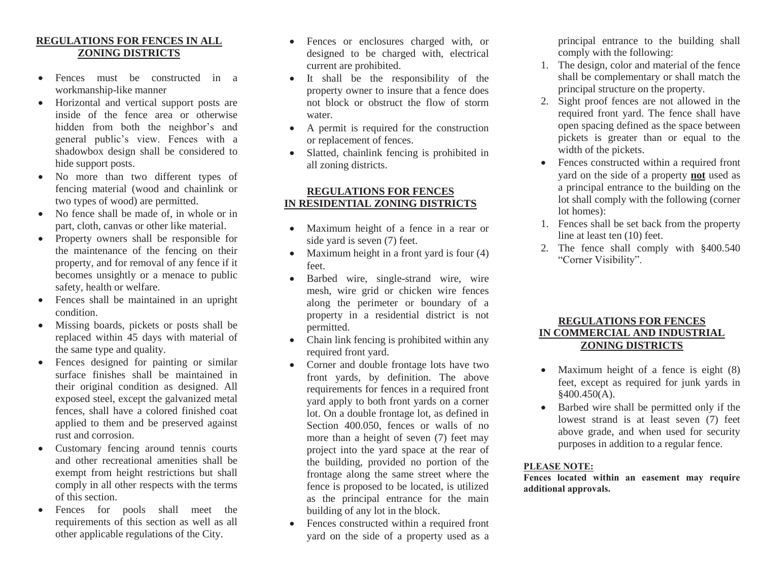## **REGULATIONS FOR FENCES IN ALL ZONING DISTRICTS**

- Fences must be constructed in a workmanship-like manner
- Horizontal and vertical support posts are inside of the fence area or otherwise hidden from both the neighbor's and general public's view. Fences with a shadowbox design shall be considered to hide support posts.
- No more than two different types of fencing material (wood and chainlink or two types of wood) are permitted.
- No fence shall be made of, in whole or in part, cloth, canvas or other like material.
- Property owners shall be responsible for the maintenance of the fencing on their property, and for removal of any fence if it becomes unsightly or a menace to public safety, health or welfare.
- Fences shall be maintained in an upright condition.
- Missing boards, pickets or posts shall be replaced within 45 days with material of the same type and quality.
- Fences designed for painting or similar surface finishes shall be maintained in their original condition as designed. All exposed steel, except the galvanized metal fences, shall have a colored finished coat applied to them and be preserved against rust and corrosion.
- Customary fencing around tennis courts and other recreational amenities shall be exempt from height restrictions but shall comply in all other respects with the terms of this section.
- Fences for pools shall meet the requirements of this section as well as all other applicable regulations of the City.
- Fences or enclosures charged with, or designed to be charged with, electrical current are prohibited.
- It shall be the responsibility of the property owner to insure that a fence does not block or obstruct the flow of storm water.
- A permit is required for the construction or replacement of fences.
- Slatted, chainlink fencing is prohibited in all zoning districts.

## **REGULATIONS FOR FENCES IN RESIDENTIAL ZONING DISTRICTS**

- Maximum height of a fence in a rear or side yard is seven (7) feet.
- Maximum height in a front yard is four  $(4)$ feet.
- Barbed wire, single-strand wire, wire mesh, wire grid or chicken wire fences along the perimeter or boundary of a property in a residential district is not permitted.
- Chain link fencing is prohibited within any required front yard.
- Corner and double frontage lots have two front yards, by definition. The above requirements for fences in a required front yard apply to both front yards on a corner lot. On a double frontage lot, as defined in Section 400.050, fences or walls of no more than a height of seven (7) feet may project into the yard space at the rear of the building, provided no portion of the frontage along the same street where the fence is proposed to be located, is utilized as the principal entrance for the main building of any lot in the block.
- Fences constructed within a required front yard on the side of a property used as a

principal entrance to the building shall comply with the following:

- 1. The design, color and material of the fence shall be complementary or shall match the principal structure on the property.
- 2. Sight proof fences are not allowed in the required front yard. The fence shall have open spacing defined as the space between pickets is greater than or equal to the width of the pickets.
- Fences constructed within a required front yard on the side of a property **not** used as a principal entrance to the building on the lot shall comply with the following (corner lot homes):
- 1. Fences shall be set back from the property line at least ten (10) feet.
- 2. The fence shall comply with §400.540 "Corner Visibility".

# **REGULATIONS FOR FENCES IN COMMERCIAL AND INDUSTRIAL ZONING DISTRICTS**

- Maximum height of a fence is eight (8) feet, except as required for junk yards in  $§400.450(A).$
- Barbed wire shall be permitted only if the lowest strand is at least seven (7) feet above grade, and when used for security purposes in addition to a regular fence.

#### **PLEASE NOTE:**

**Fences located within an easement may require additional approvals.**